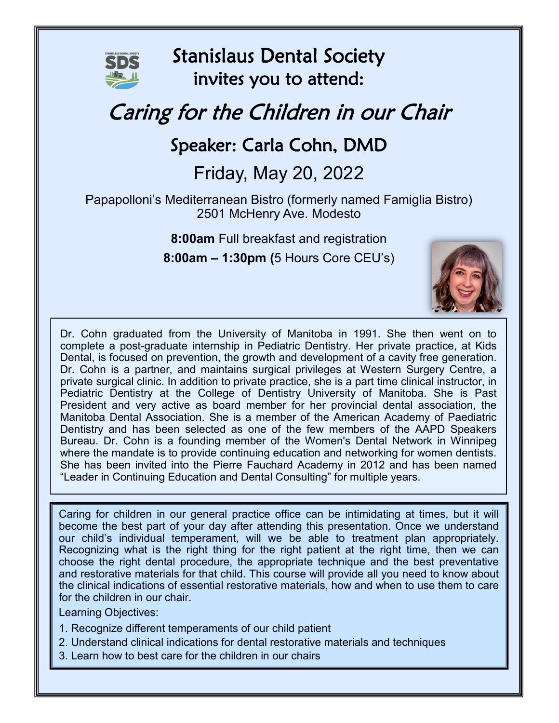

Stanislaus Dental Society invites you to attend:

## Caring for the Children in our Chair

## Speaker: Carla Cohn, DMD

## Friday, May 20, 2022

Papapolloni's Mediterranean Bistro (formerly named Famiglia Bistro) 2501 McHenry Ave. Modesto

> **8:00am** Full breakfast and registration **8:00am – 1:30pm (**5 Hours Core CEU's)



Dr. Cohn graduated from the University of Manitoba in 1991. She then went on to complete a post-graduate internship in Pediatric Dentistry. Her private practice, at Kids Dental, is focused on prevention, the growth and development of a cavity free generation. Dr. Cohn is a partner, and maintains surgical privileges at Western Surgery Centre, a private surgical clinic. In addition to private practice, she is a part time clinical instructor, in Pediatric Dentistry at the College of Dentistry University of Manitoba. She is Past President and very active as board member for her provincial dental association, the Manitoba Dental Association. She is a member of the American Academy of Paediatric Dentistry and has been selected as one of the few members of the AAPD Speakers Bureau. Dr. Cohn is a founding member of the Women's Dental Network in Winnipeg where the mandate is to provide continuing education and networking for women dentists. She has been invited into the Pierre Fauchard Academy in 2012 and has been named "Leader in Continuing Education and Dental Consulting" for multiple years.

Caring for children in our general practice office can be intimidating at times, but it will become the best part of your day after attending this presentation. Once we understand our child's individual temperament, will we be able to treatment plan appropriately. Recognizing what is the right thing for the right patient at the right time, then we can choose the right dental procedure, the appropriate technique and the best preventative and restorative materials for that child. This course will provide all you need to know about the clinical indications of essential restorative materials, how and when to use them to care for the children in our chair.

Learning Objectives:

- 1. Recognize different temperaments of our child patient
- 2. Understand clinical indications for dental restorative materials and techniques
- 3. Learn how to best care for the children in our chairs